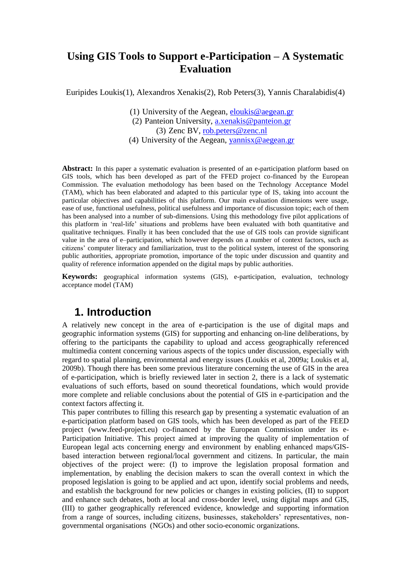### **Using GIS Tools to Support e-Participation – A Systematic Evaluation**

Euripides Loukis(1), Alexandros Xenakis(2), Rob Peters(3), Yannis Charalabidis(4)

(1) University of the Aegean,  $eloukis@aegean.gr$ (2) Panteion University, [a.xenakis@panteion.gr](mailto:a.xenakis@panteion.gr) (3) Zenc BV, [rob.peters@zenc.nl](mailto:rob.peters@zenc.nl) (4) University of the Aegean,  $\frac{v}{x}$  aegean.gr

**Abstract:** In this paper a systematic evaluation is presented of an e-participation platform based on GIS tools, which has been developed as part of the FFED project co-financed by the European Commission. The evaluation methodology has been based on the Technology Acceptance Model (TAM), which has been elaborated and adapted to this particular type of IS, taking into account the particular objectives and capabilities of this platform. Our main evaluation dimensions were usage, ease of use, functional usefulness, political usefulness and importance of discussion topic; each of them has been analysed into a number of sub-dimensions. Using this methodology five pilot applications of this platform in "real-life" situations and problems have been evaluated with both quantitative and qualitative techniques. Finally it has been concluded that the use of GIS tools can provide significant value in the area of e–participation, which however depends on a number of context factors, such as citizens" computer literacy and familiarization, trust to the political system, interest of the sponsoring public authorities, appropriate promotion, importance of the topic under discussion and quantity and quality of reference information appended on the digital maps by public authorities.

**Keywords:** geographical information systems (GIS), e-participation, evaluation, technology acceptance model (TAM)

### **1. Introduction**

A relatively new concept in the area of e-participation is the use of digital maps and geographic information systems (GIS) for supporting and enhancing on-line deliberations, by offering to the participants the capability to upload and access geographically referenced multimedia content concerning various aspects of the topics under discussion, especially with regard to spatial planning, environmental and energy issues (Loukis et al, 2009a; Loukis et al, 2009b). Though there has been some previous literature concerning the use of GIS in the area of e-participation, which is briefly reviewed later in section 2, there is a lack of systematic evaluations of such efforts, based on sound theoretical foundations, which would provide more complete and reliable conclusions about the potential of GIS in e-participation and the context factors affecting it.

This paper contributes to filling this research gap by presenting a systematic evaluation of an e-participation platform based on GIS tools, which has been developed as part of the FEED project (www.feed-project.eu) co-financed by the European Commission under its e-Participation Initiative. This project aimed at improving the quality of implementation of European legal acts concerning energy and environment by enabling enhanced maps/GISbased interaction between regional/local government and citizens. In particular, the main objectives of the project were: (I) to improve the legislation proposal formation and implementation, by enabling the decision makers to scan the overall context in which the proposed legislation is going to be applied and act upon, identify social problems and needs, and establish the background for new policies or changes in existing policies, (II) to support and enhance such debates, both at local and cross-border level, using digital maps and GIS, (III) to gather geographically referenced evidence, knowledge and supporting information from a range of sources, including citizens, businesses, stakeholders" representatives, nongovernmental organisations (NGOs) and other socio-economic organizations.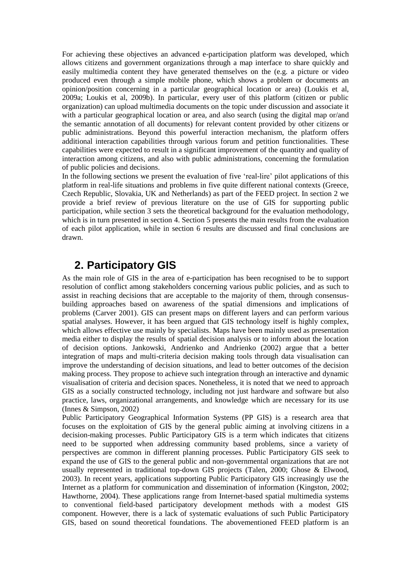For achieving these objectives an advanced e-participation platform was developed, which allows citizens and government organizations through a map interface to share quickly and easily multimedia content they have generated themselves on the (e.g. a picture or video produced even through a simple mobile phone, which shows a problem or documents an opinion/position concerning in a particular geographical location or area) (Loukis et al, 2009a; Loukis et al, 2009b). In particular, every user of this platform (citizen or public organization) can upload multimedia documents on the topic under discussion and associate it with a particular geographical location or area, and also search (using the digital map or/and the semantic annotation of all documents) for relevant content provided by other citizens or public administrations. Beyond this powerful interaction mechanism, the platform offers additional interaction capabilities through various forum and petition functionalities. These capabilities were expected to result in a significant improvement of the quantity and quality of interaction among citizens, and also with public administrations, concerning the formulation of public policies and decisions.

In the following sections we present the evaluation of five "real-lire" pilot applications of this platform in real-life situations and problems in five quite different national contexts (Greece, Czech Republic, Slovakia, UK and Netherlands) as part of the FEED project. In section 2 we provide a brief review of previous literature on the use of GIS for supporting public participation, while section 3 sets the theoretical background for the evaluation methodology, which is in turn presented in section 4. Section 5 presents the main results from the evaluation of each pilot application, while in section 6 results are discussed and final conclusions are drawn.

## **2. Participatory GIS**

As the main role of GIS in the area of e-participation has been recognised to be to support resolution of conflict among stakeholders concerning various public policies, and as such to assist in reaching decisions that are acceptable to the majority of them, through consensusbuilding approaches based on awareness of the spatial dimensions and implications of problems (Carver 2001). GIS can present maps on different layers and can perform various spatial analyses. However, it has been argued that GIS technology itself is highly complex, which allows effective use mainly by specialists. Maps have been mainly used as presentation media either to display the results of spatial decision analysis or to inform about the location of decision options. Jankowski, Andrienko and Andrienko (2002) argue that a better integration of maps and multi-criteria decision making tools through data visualisation can improve the understanding of decision situations, and lead to better outcomes of the decision making process. They propose to achieve such integration through an interactive and dynamic visualisation of criteria and decision spaces. Nonetheless, it is noted that we need to approach GIS as a socially constructed technology, including not just hardware and software but also practice, laws, organizational arrangements, and knowledge which are necessary for its use (Innes & Simpson, 2002)

Public Participatory Geographical Information Systems (PP GIS) is a research area that focuses on the exploitation of GIS by the general public aiming at involving citizens in a decision-making processes. Public Participatory GIS is a term which indicates that citizens need to be supported when addressing community based problems, since a variety of perspectives are common in different planning processes. Public Participatory GIS seek to expand the use of GIS to the general public and non-governmental organizations that are not usually represented in traditional top-down GIS projects (Talen, 2000; Ghose & Elwood, 2003). In recent years, applications supporting Public Participatory GIS increasingly use the Internet as a platform for communication and dissemination of information (Kingston, 2002; Hawthorne, 2004). These applications range from Internet-based spatial multimedia systems to conventional field-based participatory development methods with a modest GIS component. However, there is a lack of systematic evaluations of such Public Participatory GIS, based on sound theoretical foundations. The abovementioned FEED platform is an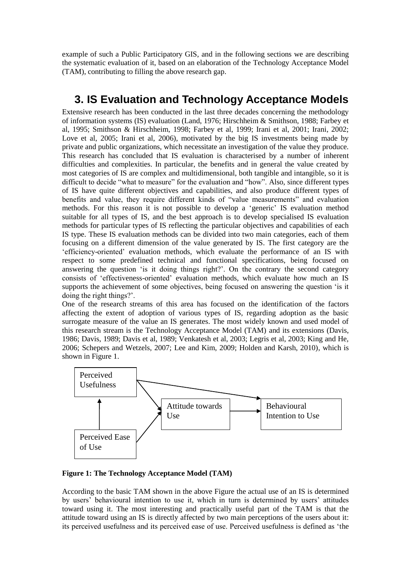example of such a Public Participatory GIS, and in the following sections we are describing the systematic evaluation of it, based on an elaboration of the Technology Acceptance Model (TAM), contributing to filling the above research gap.

# **3. IS Evaluation and Technology Acceptance Models**

Extensive research has been conducted in the last three decades concerning the methodology of information systems (IS) evaluation (Land, 1976; Hirschheim & Smithson, 1988; Farbey et al, 1995; Smithson & Hirschheim, 1998; Farbey et al, 1999; Irani et al, 2001; Irani, 2002; Love et al, 2005; Irani et al, 2006), motivated by the big IS investments being made by private and public organizations, which necessitate an investigation of the value they produce. This research has concluded that IS evaluation is characterised by a number of inherent difficulties and complexities. In particular, the benefits and in general the value created by most categories of IS are complex and multidimensional, both tangible and intangible, so it is difficult to decide "what to measure" for the evaluation and "how". Also, since different types of IS have quite different objectives and capabilities, and also produce different types of benefits and value, they require different kinds of "value measurements" and evaluation methods. For this reason it is not possible to develop a "generic" IS evaluation method suitable for all types of IS, and the best approach is to develop specialised IS evaluation methods for particular types of IS reflecting the particular objectives and capabilities of each IS type. These IS evaluation methods can be divided into two main categories, each of them focusing on a different dimension of the value generated by IS. The first category are the "efficiency-oriented" evaluation methods, which evaluate the performance of an IS with respect to some predefined technical and functional specifications, being focused on answering the question "is it doing things right?". On the contrary the second category consists of "effectiveness-oriented" evaluation methods, which evaluate how much an IS supports the achievement of some objectives, being focused on answering the question "is it doing the right things?".

One of the research streams of this area has focused on the identification of the factors affecting the extent of adoption of various types of IS, regarding adoption as the basic surrogate measure of the value an IS generates. The most widely known and used model of this research stream is the Technology Acceptance Model (TAM) and its extensions (Davis, 1986; Davis, 1989; Davis et al, 1989; Venkatesh et al, 2003; Legris et al, 2003; King and He, 2006; Schepers and Wetzels, 2007; Lee and Kim, 2009; Holden and Karsh, 2010), which is shown in Figure 1.



**Figure 1: The Technology Acceptance Model (TAM)**

According to the basic TAM shown in the above Figure the actual use of an IS is determined by users" behavioural intention to use it, which in turn is determined by users" attitudes toward using it. The most interesting and practically useful part of the TAM is that the attitude toward using an IS is directly affected by two main perceptions of the users about it: its perceived usefulness and its perceived ease of use. Perceived usefulness is defined as "the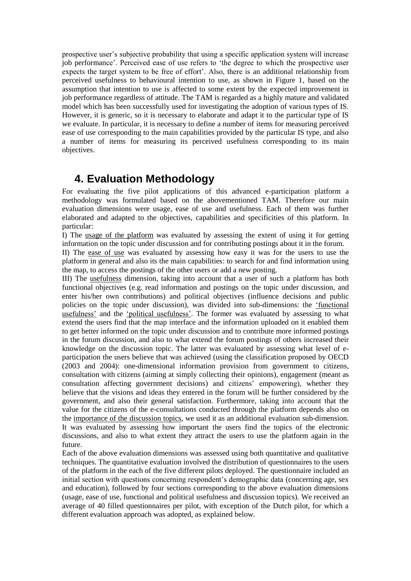prospective user"s subjective probability that using a specific application system will increase job performance". Perceived ease of use refers to "the degree to which the prospective user expects the target system to be free of effort". Also, there is an additional relationship from perceived usefulness to behavioural intention to use, as shown in Figure 1, based on the assumption that intention to use is affected to some extent by the expected improvement in job performance regardless of attitude. The TAM is regarded as a highly mature and validated model which has been successfully used for investigating the adoption of various types of IS. However, it is generic, so it is necessary to elaborate and adapt it to the particular type of IS we evaluate. In particular, it is necessary to define a number of items for measuring perceived ease of use corresponding to the main capabilities provided by the particular IS type, and also a number of items for measuring its perceived usefulness corresponding to its main objectives.

# **4. Evaluation Methodology**

For evaluating the five pilot applications of this advanced e-participation platform a methodology was formulated based on the abovementioned TAM. Therefore our main evaluation dimensions were usage, ease of use and usefulness. Each of them was further elaborated and adapted to the objectives, capabilities and specificities of this platform. In particular:

I) The usage of the platform was evaluated by assessing the extent of using it for getting information on the topic under discussion and for contributing postings about it in the forum.

II) The ease of use was evaluated by assessing how easy it was for the users to use the platform in general and also its the main capabilities: to search for and find information using the map, to access the postings of the other users or add a new posting.

III) The usefulness dimension, taking into account that a user of such a platform has both functional objectives (e.g. read information and postings on the topic under discussion, and enter his/her own contributions) and political objectives (influence decisions and public policies on the topic under discussion), was divided into sub-dimensions: the "functional usefulness' and the 'political usefulness'. The former was evaluated by assessing to what extend the users find that the map interface and the information uploaded on it enabled them to get better informed on the topic under discussion and to contribute more informed postings in the forum discussion, and also to what extend the forum postings of others increased their knowledge on the discussion topic. The latter was evaluated by assessing what level of eparticipation the users believe that was achieved (using the classification proposed by OECD (2003 and 2004): one-dimensional information provision from government to citizens, consultation with citizens (aiming at simply collecting their opinions), engagement (meant as consultation affecting government decisions) and citizens" empowering), whether they believe that the visions and ideas they entered in the forum will be further considered by the government, and also their general satisfaction. Furthermore, taking into account that the value for the citizens of the e-consultations conducted through the platform depends also on the importance of the discussion topics, we used it as an additional evaluation sub-dimension. It was evaluated by assessing how important the users find the topics of the electronic discussions, and also to what extent they attract the users to use the platform again in the future.

Each of the above evaluation dimensions was assessed using both quantitative and qualitative techniques. The quantitative evaluation involved the distribution of questionnaires to the users of the platform in the each of the five different pilots deployed. The questionnaire included an initial section with questions concerning respondent"s demographic data (concerning age, sex and education), followed by four sections corresponding to the above evaluation dimensions (usage, ease of use, functional and political usefulness and discussion topics). We received an average of 40 filled questionnaires per pilot, with exception of the Dutch pilot, for which a different evaluation approach was adopted, as explained below.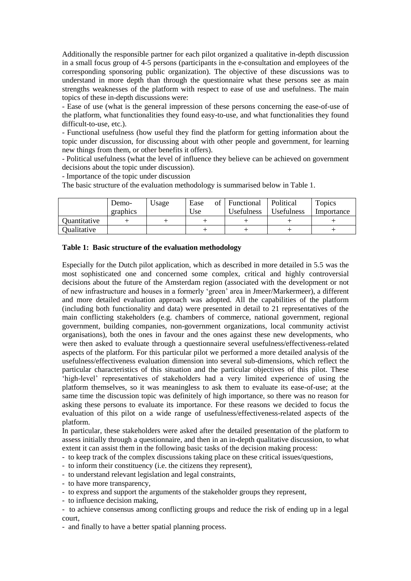Additionally the responsible partner for each pilot organized a qualitative in-depth discussion in a small focus group of 4-5 persons (participants in the e-consultation and employees of the corresponding sponsoring public organization). The objective of these discussions was to understand in more depth than through the questionnaire what these persons see as main strengths weaknesses of the platform with respect to ease of use and usefulness. The main topics of these in-depth discussions were:

- Ease of use (what is the general impression of these persons concerning the ease-of-use of the platform, what functionalities they found easy-to-use, and what functionalities they found difficult-to-use, etc.).

- Functional usefulness (how useful they find the platform for getting information about the topic under discussion, for discussing about with other people and government, for learning new things from them, or other benefits it offers).

- Political usefulness (what the level of influence they believe can be achieved on government decisions about the topic under discussion).

- Importance of the topic under discussion

The basic structure of the evaluation methodology is summarised below in Table 1.

|              | Demo-<br>graphics | Usage | Ease<br>of<br>Use | Functional<br><b>Usefulness</b> | Political<br><b>Usefulness</b> | Topics<br>Importance |
|--------------|-------------------|-------|-------------------|---------------------------------|--------------------------------|----------------------|
| Ouantitative |                   |       |                   |                                 |                                |                      |
| Oualitative  |                   |       |                   |                                 |                                |                      |

#### **Table 1: Basic structure of the evaluation methodology**

Especially for the Dutch pilot application, which as described in more detailed in 5.5 was the most sophisticated one and concerned some complex, critical and highly controversial decisions about the future of the Amsterdam region (associated with the development or not of new infrastructure and houses in a formerly "green" area in Jmeer/Markermeer), a different and more detailed evaluation approach was adopted. All the capabilities of the platform (including both functionality and data) were presented in detail to 21 representatives of the main conflicting stakeholders (e.g. chambers of commerce, national government, regional government, building companies, non-government organizations, local community activist organisations), both the ones in favour and the ones against these new developments, who were then asked to evaluate through a questionnaire several usefulness/effectiveness-related aspects of the platform. For this particular pilot we performed a more detailed analysis of the usefulness/effectiveness evaluation dimension into several sub-dimensions, which reflect the particular characteristics of this situation and the particular objectives of this pilot. These "high-level" representatives of stakeholders had a very limited experience of using the platform themselves, so it was meaningless to ask them to evaluate its ease-of-use; at the same time the discussion topic was definitely of high importance, so there was no reason for asking these persons to evaluate its importance. For these reasons we decided to focus the evaluation of this pilot on a wide range of usefulness/effectiveness-related aspects of the platform.

In particular, these stakeholders were asked after the detailed presentation of the platform to assess initially through a questionnaire, and then in an in-depth qualitative discussion, to what extent it can assist them in the following basic tasks of the decision making process:

- to keep track of the complex discussions taking place on these critical issues/questions,

- to inform their constituency (i.e. the citizens they represent),

- to understand relevant legislation and legal constraints,

- to have more transparency,
- to express and support the arguments of the stakeholder groups they represent,
- to influence decision making,

- to achieve consensus among conflicting groups and reduce the risk of ending up in a legal court,

- and finally to have a better spatial planning process.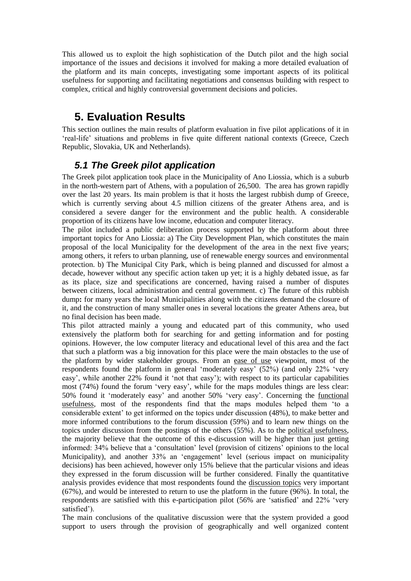This allowed us to exploit the high sophistication of the Dutch pilot and the high social importance of the issues and decisions it involved for making a more detailed evaluation of the platform and its main concepts, investigating some important aspects of its political usefulness for supporting and facilitating negotiations and consensus building with respect to complex, critical and highly controversial government decisions and policies.

# **5. Evaluation Results**

This section outlines the main results of platform evaluation in five pilot applications of it in "real-life" situations and problems in five quite different national contexts (Greece, Czech Republic, Slovakia, UK and Netherlands).

### *5.1 The Greek pilot application*

The Greek pilot application took place in the Municipality of Ano Liossia, which is a suburb in the north-western part of Athens, with a population of 26,500. The area has grown rapidly over the last 20 years. Its main problem is that it hosts the largest rubbish dump of Greece, which is currently serving about 4.5 million citizens of the greater Athens area, and is considered a severe danger for the environment and the public health. A considerable proportion of its citizens have low income, education and computer literacy.

The pilot included a public deliberation process supported by the platform about three important topics for Ano Liossia: a) The City Development Plan, which constitutes the main proposal of the local Municipality for the development of the area in the next five years; among others, it refers to urban planning, use of renewable energy sources and environmental protection. b) The Municipal City Park, which is being planned and discussed for almost a decade, however without any specific action taken up yet; it is a highly debated issue, as far as its place, size and specifications are concerned, having raised a number of disputes between citizens, local administration and central government. c) The future of this rubbish dump**:** for many years the local Municipalities along with the citizens demand the closure of it, and the construction of many smaller ones in several locations the greater Athens area, but no final decision has been made.

This pilot attracted mainly a young and educated part of this community, who used extensively the platform both for searching for and getting information and for posting opinions. However, the low computer literacy and educational level of this area and the fact that such a platform was a big innovation for this place were the main obstacles to the use of the platform by wider stakeholder groups. From an ease of use viewpoint, most of the respondents found the platform in general "moderately easy" (52%) (and only 22% "very easy", while another 22% found it "not that easy"); with respect to its particular capabilities most (74%) found the forum "very easy", while for the maps modules things are less clear: 50% found it 'moderately easy' and another 50% 'very easy'. Concerning the functional usefulness, most of the respondents find that the maps modules helped them "to a considerable extent" to get informed on the topics under discussion (48%), to make better and more informed contributions to the forum discussion (59%) and to learn new things on the topics under discussion from the postings of the others (55%). As to the political usefulness, the majority believe that the outcome of this e-discussion will be higher than just getting informed: 34% believe that a "consultation" level (provision of citizens" opinions to the local Municipality), and another 33% an 'engagement' level (serious impact on municipality decisions) has been achieved, however only 15% believe that the particular visions and ideas they expressed in the forum discussion will be further considered. Finally the quantitative analysis provides evidence that most respondents found the discussion topics very important (67%), and would be interested to return to use the platform in the future (96%). In total, the respondents are satisfied with this e-participation pilot (56% are "satisfied" and 22% "very satisfied').

The main conclusions of the qualitative discussion were that the system provided a good support to users through the provision of geographically and well organized content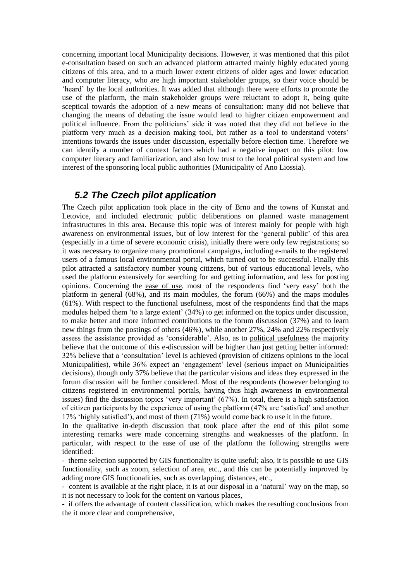concerning important local Municipality decisions. However, it was mentioned that this pilot e-consultation based on such an advanced platform attracted mainly highly educated young citizens of this area, and to a much lower extent citizens of older ages and lower education and computer literacy, who are high important stakeholder groups, so their voice should be "heard" by the local authorities. It was added that although there were efforts to promote the use of the platform, the main stakeholder groups were reluctant to adopt it, being quite sceptical towards the adoption of a new means of consultation: many did not believe that changing the means of debating the issue would lead to higher citizen empowerment and political influence. From the politicians" side it was noted that they did not believe in the platform very much as a decision making tool, but rather as a tool to understand voters' intentions towards the issues under discussion, especially before election time. Therefore we can identify a number of context factors which had a negative impact on this pilot: low computer literacy and familiarization, and also low trust to the local political system and low interest of the sponsoring local public authorities (Municipality of Ano Liossia).

#### *5.2 The Czech pilot application*

The Czech pilot application took place in the city of Brno and the towns of Kunstat and Letovice, and included electronic public deliberations on planned waste management infrastructures in this area. Because this topic was of interest mainly for people with high awareness on environmental issues, but of low interest for the "general public" of this area (especially in a time of severe economic crisis), initially there were only few registrations; so it was necessary to organize many promotional campaigns, including e-mails to the registered users of a famous local environmental portal, which turned out to be successful. Finally this pilot attracted a satisfactory number young citizens, but of various educational levels, who used the platform extensively for searching for and getting information, and less for posting opinions. Concerning the ease of use, most of the respondents find "very easy" both the platform in general (68%), and its main modules, the forum (66%) and the maps modules (61%). With respect to the functional usefulness, most of the respondents find that the maps modules helped them "to a large extent" (34%) to get informed on the topics under discussion, to make better and more informed contributions to the forum discussion (37%) and to learn new things from the postings of others (46%), while another 27%, 24% and 22% respectively assess the assistance provided as "considerable". Also, as to political usefulness the majority believe that the outcome of this e-discussion will be higher than just getting better informed: 32% believe that a "consultation" level is achieved (provision of citizens opinions to the local Municipalities), while 36% expect an 'engagement' level (serious impact on Municipalities decisions), though only 37% believe that the particular visions and ideas they expressed in the forum discussion will be further considered. Most of the respondents (however belonging to citizens registered in environmental portals, having thus high awareness in environmental issues) find the discussion topics 'very important' (67%). In total, there is a high satisfaction of citizen participants by the experience of using the platform (47% are "satisfied" and another 17% "highly satisfied"), and most of them (71%) would come back to use it in the future.

In the qualitative in-depth discussion that took place after the end of this pilot some interesting remarks were made concerning strengths and weaknesses of the platform. In particular, with respect to the ease of use of the platform the following strengths were identified:

- theme selection supported by GIS functionality is quite useful; also, it is possible to use GIS functionality, such as zoom, selection of area, etc., and this can be potentially improved by adding more GIS functionalities, such as overlapping, distances, etc.,

- content is available at the right place, it is at our disposal in a "natural" way on the map, so it is not necessary to look for the content on various places,

- if offers the advantage of content classification, which makes the resulting conclusions from the it more clear and comprehensive,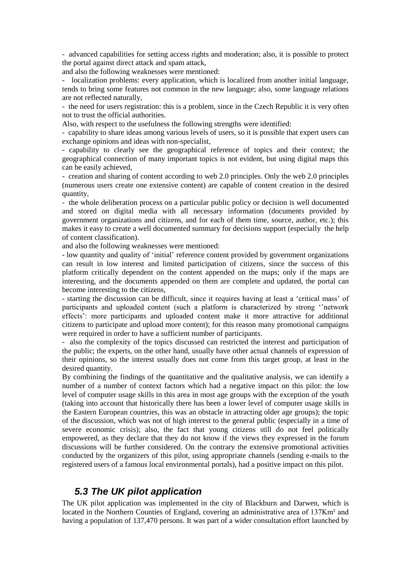- advanced capabilities for setting access rights and moderation; also, it is possible to protect the portal against direct attack and spam attack,

and also the following weaknesses were mentioned:

- localization problems: every application, which is localized from another initial language, tends to bring some features not common in the new language; also, some language relations are not reflected naturally,

- the need for users registration: this is a problem, since in the Czech Republic it is very often not to trust the official authorities.

Also, with respect to the usefulness the following strengths were identified:

- capability to share ideas among various levels of users, so it is possible that expert users can exchange opinions and ideas with non-specialist,

- capability to clearly see the geographical reference of topics and their context; the geographical connection of many important topics is not evident, but using digital maps this can be easily achieved,

- creation and sharing of content according to web 2.0 principles. Only the web 2.0 principles (numerous users create one extensive content) are capable of content creation in the desired quantity,

- the whole deliberation process on a particular public policy or decision is well documented and stored on digital media with all necessary information (documents provided by government organizations and citizens, and for each of them time, source, author, etc.); this makes it easy to create a well documented summary for decisions support (especially the help of content classification).

and also the following weaknesses were mentioned:

- low quantity and quality of "initial" reference content provided by government organizations can result in low interest and limited participation of citizens, since the success of this platform critically dependent on the content appended on the maps; only if the maps are interesting, and the documents appended on them are complete and updated, the portal can become interesting to the citizens,

- starting the discussion can be difficult, since it requires having at least a "critical mass" of participants and uploaded content (such a platform is characterized by strong ""network effects": more participants and uploaded content make it more attractive for additional citizens to participate and upload more content); for this reason many promotional campaigns were required in order to have a sufficient number of participants.

- also the complexity of the topics discussed can restricted the interest and participation of the public; the experts, on the other hand, usually have other actual channels of expression of their opinions, so the interest usually does not come from this target group, at least in the desired quantity.

By combining the findings of the quantitative and the qualitative analysis, we can identify a number of a number of context factors which had a negative impact on this pilot: the low level of computer usage skills in this area in most age groups with the exception of the youth (taking into account that historically there has been a lower level of computer usage skills in the Eastern European countries, this was an obstacle in attracting older age groups); the topic of the discussion, which was not of high interest to the general public (especially in a time of severe economic crisis); also, the fact that young citizens still do not feel politically empowered, as they declare that they do not know if the views they expressed in the forum discussions will be further considered. On the contrary the extensive promotional activities conducted by the organizers of this pilot, using appropriate channels (sending e-mails to the registered users of a famous local environmental portals), had a positive impact on this pilot.

### *5.3 The UK pilot application*

The UK pilot application was implemented in the city of Blackburn and Darwen, which is located in the Northern Counties of England, covering an administrative area of 137Km<sup>2</sup> and having a population of 137,470 persons. It was part of a wider consultation effort launched by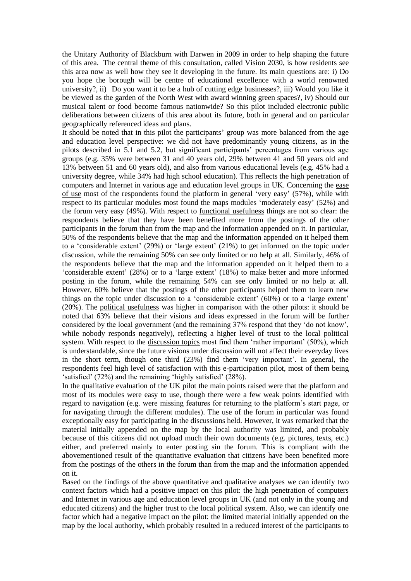the Unitary Authority of Blackburn with Darwen in 2009 in order to help shaping the future of this area. The central theme of this consultation, called Vision 2030, is how residents see this area now as well how they see it developing in the future. Its main questions are: i) Do you hope the borough will be centre of educational excellence with a world renowned university?, ii) Do you want it to be a hub of cutting edge businesses?, iii) Would you like it be viewed as the garden of the North West with award winning green spaces?, iv) Should our musical talent or food become famous nationwide? So this pilot included electronic public deliberations between citizens of this area about its future, both in general and on particular geographically referenced ideas and plans.

It should be noted that in this pilot the participants' group was more balanced from the age and education level perspective: we did not have predominantly young citizens, as in the pilots described in 5.1 and 5.2, but significant participants" percentages from various age groups (e.g. 35% were between 31 and 40 years old, 29% between 41 and 50 years old and 13% between 51 and 60 years old), and also from various educational levels (e.g. 45% had a university degree, while 34% had high school education). This reflects the high penetration of computers and Internet in various age and education level groups in UK. Concerning the ease of use most of the respondents found the platform in general "very easy" (57%), while with respect to its particular modules most found the maps modules "moderately easy" (52%) and the forum very easy (49%). With respect to functional usefulness things are not so clear: the respondents believe that they have been benefited more from the postings of the other participants in the forum than from the map and the information appended on it. In particular, 50% of the respondents believe that the map and the information appended on it helped them to a 'considerable extent'  $(29%)$  or 'large extent'  $(21%)$  to get informed on the topic under discussion, while the remaining 50% can see only limited or no help at all. Similarly, 46% of the respondents believe that the map and the information appended on it helped them to a "considerable extent" (28%) or to a "large extent" (18%) to make better and more informed posting in the forum, while the remaining 54% can see only limited or no help at all. However, 60% believe that the postings of the other participants helped them to learn new things on the topic under discussion to a "considerable extent" (60%) or to a "large extent" (20%). The political usefulness was higher in comparison with the other pilots: it should be noted that 63% believe that their visions and ideas expressed in the forum will be further considered by the local government (and the remaining 37% respond that they "do not know", while nobody responds negatively), reflecting a higher level of trust to the local political system. With respect to the discussion topics most find them 'rather important' (50%), which is understandable, since the future visions under discussion will not affect their everyday lives in the short term, though one third (23%) find them "very important". In general, the respondents feel high level of satisfaction with this e-participation pilot, most of them being 'satisfied' (72%) and the remaining 'highly satisfied' (28%).

In the qualitative evaluation of the UK pilot the main points raised were that the platform and most of its modules were easy to use, though there were a few weak points identified with regard to navigation (e.g. were missing features for returning to the platform"s start page, or for navigating through the different modules). The use of the forum in particular was found exceptionally easy for participating in the discussions held. However, it was remarked that the material initially appended on the map by the local authority was limited, and probably because of this citizens did not upload much their own documents (e.g. pictures, texts, etc.) either, and preferred mainly to enter posting sin the forum. This is compliant with the abovementioned result of the quantitative evaluation that citizens have been benefited more from the postings of the others in the forum than from the map and the information appended on it.

Based on the findings of the above quantitative and qualitative analyses we can identify two context factors which had a positive impact on this pilot: the high penetration of computers and Internet in various age and education level groups in UK (and not only in the young and educated citizens) and the higher trust to the local political system. Also, we can identify one factor which had a negative impact on the pilot: the limited material initially appended on the map by the local authority, which probably resulted in a reduced interest of the participants to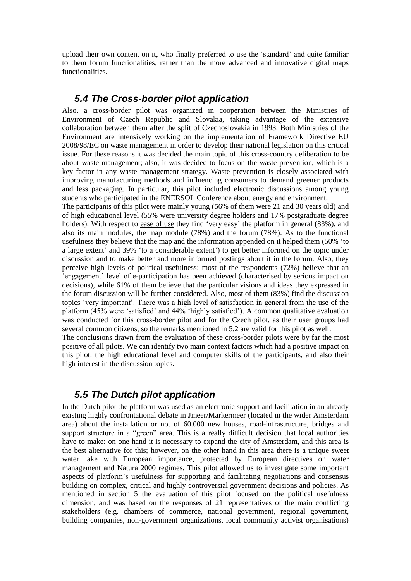upload their own content on it, who finally preferred to use the "standard" and quite familiar to them forum functionalities, rather than the more advanced and innovative digital maps functionalities.

#### *5.4 The Cross-border pilot application*

Also, a cross-border pilot was organized in cooperation between the Ministries of Environment of Czech Republic and Slovakia, taking advantage of the extensive collaboration between them after the split of Czechoslovakia in 1993. Both Ministries of the Environment are intensively working on the implementation of Framework Directive EU 2008/98/EC on waste management in order to develop their national legislation on this critical issue. For these reasons it was decided the main topic of this cross-country deliberation to be about waste management; also, it was decided to focus on the waste prevention, which is a key factor in any waste management strategy. Waste prevention is closely associated with improving manufacturing methods and influencing consumers to demand greener products and less packaging. In particular, this pilot included electronic discussions among young students who participated in the ENERSOL Conference about energy and environment.

The participants of this pilot were mainly young (56% of them were 21 and 30 years old) and of high educational level (55% were university degree holders and 17% postgraduate degree holders). With respect to ease of use they find 'very easy' the platform in general (83%), and also its main modules, the map module (78%) and the forum (78%). As to the functional usefulness they believe that the map and the information appended on it helped them (50% "to a large extent" and 39% "to a considerable extent") to get better informed on the topic under discussion and to make better and more informed postings about it in the forum. Also, they perceive high levels of political usefulness: most of the respondents (72%) believe that an "engagement" level of e-participation has been achieved (characterised by serious impact on decisions), while 61% of them believe that the particular visions and ideas they expressed in the forum discussion will be further considered. Also, most of them (83%) find the discussion topics "very important". There was a high level of satisfaction in general from the use of the platform (45% were "satisfied" and 44% "highly satisfied"). A common qualitative evaluation was conducted for this cross-border pilot and for the Czech pilot, as their user groups had several common citizens, so the remarks mentioned in 5.2 are valid for this pilot as well. The conclusions drawn from the evaluation of these cross-border pilots were by far the most

positive of all pilots. We can identify two main context factors which had a positive impact on this pilot: the high educational level and computer skills of the participants, and also their high interest in the discussion topics.

### *5.5 The Dutch pilot application*

In the Dutch pilot the platform was used as an electronic support and facilitation in an already existing highly confrontational debate in Jmeer/Markermeer (located in the wider Amsterdam area) about the installation or not of 60.000 new houses, road-infrastructure, bridges and support structure in a "green" area. This is a really difficult decision that local authorities have to make: on one hand it is necessary to expand the city of Amsterdam, and this area is the best alternative for this; however, on the other hand in this area there is a unique sweet water lake with European importance, protected by European directives on water management and Natura 2000 regimes. This pilot allowed us to investigate some important aspects of platform"s usefulness for supporting and facilitating negotiations and consensus building on complex, critical and highly controversial government decisions and policies. As mentioned in section 5 the evaluation of this pilot focused on the political usefulness dimension, and was based on the responses of 21 representatives of the main conflicting stakeholders (e.g. chambers of commerce, national government, regional government, building companies, non-government organizations, local community activist organisations)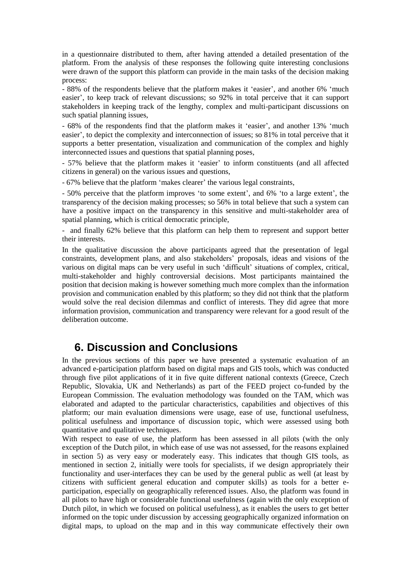in a questionnaire distributed to them, after having attended a detailed presentation of the platform. From the analysis of these responses the following quite interesting conclusions were drawn of the support this platform can provide in the main tasks of the decision making process:

- 88% of the respondents believe that the platform makes it "easier", and another 6% "much easier', to keep track of relevant discussions; so 92% in total perceive that it can support stakeholders in keeping track of the lengthy, complex and multi-participant discussions on such spatial planning issues,

- 68% of the respondents find that the platform makes it "easier", and another 13% "much easier", to depict the complexity and interconnection of issues; so 81% in total perceive that it supports a better presentation, visualization and communication of the complex and highly interconnected issues and questions that spatial planning poses,

- 57% believe that the platform makes it "easier" to inform constituents (and all affected citizens in general) on the various issues and questions,

- 67% believe that the platform "makes clearer" the various legal constraints,

- 50% perceive that the platform improves "to some extent", and 6% "to a large extent", the transparency of the decision making processes; so 56% in total believe that such a system can have a positive impact on the transparency in this sensitive and multi-stakeholder area of spatial planning, which is critical democratic principle,

- and finally 62% believe that this platform can help them to represent and support better their interests.

In the qualitative discussion the above participants agreed that the presentation of legal constraints, development plans, and also stakeholders" proposals, ideas and visions of the various on digital maps can be very useful in such "difficult" situations of complex, critical, multi-stakeholder and highly controversial decisions. Most participants maintained the position that decision making is however something much more complex than the information provision and communication enabled by this platform; so they did not think that the platform would solve the real decision dilemmas and conflict of interests. They did agree that more information provision, communication and transparency were relevant for a good result of the deliberation outcome.

# **6. Discussion and Conclusions**

In the previous sections of this paper we have presented a systematic evaluation of an advanced e-participation platform based on digital maps and GIS tools, which was conducted through five pilot applications of it in five quite different national contexts (Greece, Czech Republic, Slovakia, UK and Netherlands) as part of the FEED project co-funded by the European Commission. The evaluation methodology was founded on the TAM, which was elaborated and adapted to the particular characteristics, capabilities and objectives of this platform; our main evaluation dimensions were usage, ease of use, functional usefulness, political usefulness and importance of discussion topic, which were assessed using both quantitative and qualitative techniques.

With respect to ease of use, the platform has been assessed in all pilots (with the only exception of the Dutch pilot, in which ease of use was not assessed, for the reasons explained in section 5) as very easy or moderately easy. This indicates that though GIS tools, as mentioned in section 2, initially were tools for specialists, if we design appropriately their functionality and user-interfaces they can be used by the general public as well (at least by citizens with sufficient general education and computer skills) as tools for a better eparticipation, especially on geographically referenced issues. Also, the platform was found in all pilots to have high or considerable functional usefulness (again with the only exception of Dutch pilot, in which we focused on political usefulness), as it enables the users to get better informed on the topic under discussion by accessing geographically organized information on digital maps, to upload on the map and in this way communicate effectively their own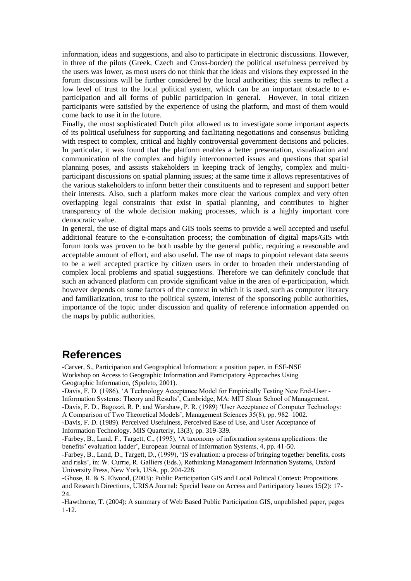information, ideas and suggestions, and also to participate in electronic discussions. However, in three of the pilots (Greek, Czech and Cross-border) the political usefulness perceived by the users was lower, as most users do not think that the ideas and visions they expressed in the forum discussions will be further considered by the local authorities; this seems to reflect a low level of trust to the local political system, which can be an important obstacle to eparticipation and all forms of public participation in general. However, in total citizen participants were satisfied by the experience of using the platform, and most of them would come back to use it in the future.

Finally, the most sophisticated Dutch pilot allowed us to investigate some important aspects of its political usefulness for supporting and facilitating negotiations and consensus building with respect to complex, critical and highly controversial government decisions and policies. In particular, it was found that the platform enables a better presentation, visualization and communication of the complex and highly interconnected issues and questions that spatial planning poses, and assists stakeholders in keeping track of lengthy, complex and multiparticipant discussions on spatial planning issues; at the same time it allows representatives of the various stakeholders to inform better their constituents and to represent and support better their interests. Also, such a platform makes more clear the various complex and very often overlapping legal constraints that exist in spatial planning, and contributes to higher transparency of the whole decision making processes, which is a highly important core democratic value.

In general, the use of digital maps and GIS tools seems to provide a well accepted and useful additional feature to the e-consultation process; the combination of digital maps/GIS with forum tools was proven to be both usable by the general public, requiring a reasonable and acceptable amount of effort, and also useful. The use of maps to pinpoint relevant data seems to be a well accepted practice by citizen users in order to broaden their understanding of complex local problems and spatial suggestions. Therefore we can definitely conclude that such an advanced platform can provide significant value in the area of e-participation, which however depends on some factors of the context in which it is used, such as computer literacy and familiarization, trust to the political system, interest of the sponsoring public authorities, importance of the topic under discussion and quality of reference information appended on the maps by public authorities.

### **References**

-Carver, S., Participation and Geographical Information: a position paper. in ESF-NSF Workshop on Access to Geographic Information and Participatory Approaches Using Geographic Information, (Spoleto, 2001).

-Davis, F. D. (1986), "A Technology Acceptance Model for Empirically Testing New End-User - Information Systems: Theory and Results", Cambridge, MA: MIT Sloan School of Management. -Davis, F. D., Bagozzi, R. P. and Warshaw, P. R. (1989) "User Acceptance of Computer Technology: A Comparison of Two Theoretical Models", Management Sciences 35(8), pp. 982–1002.

-Davis, F. D. (1989). Perceived Usefulness, Perceived Ease of Use, and User Acceptance of Information Technology. MIS Quarterly, 13(3), pp. 319-339.

-Farbey, B., Land, F., Targett, C., (1995), "A taxonomy of information systems applications: the benefits" evaluation ladder", European Journal of Information Systems, 4, pp. 41-50.

-Farbey, B., Land, D., Targett, D., (1999), "IS evaluation: a process of bringing together benefits, costs and risks", in: W. Currie, R. Galliers (Eds.), Rethinking Management Information Systems, Oxford University Press, New York, USA, pp. 204-228.

-Ghose, R. & S. Elwood, (2003): Public Participation GIS and Local Political Context: Propositions and Research Directions, URISA Journal: Special Issue on Access and Participatory Issues 15(2): 17- 24.

-Hawthorne, T. (2004): A summary of Web Based Public Participation GIS, unpublished paper, pages 1-12.